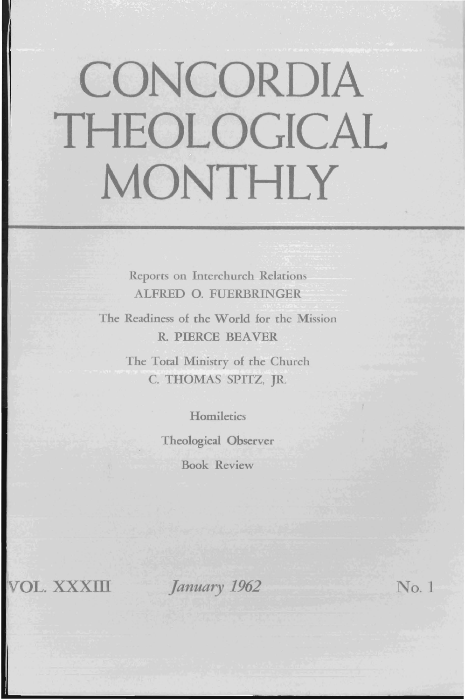# **CONCORDIA THEOLOGICAL MONTHLY**

Reports on Interchurch Relations ALFRED O. FUERBRINGER

The Readiness of the World for the Mission R. PIERCE BEAVER

> The Total Ministry of the Church C. THOMAS SPITZ, JR.

> > **Homiletics**

Theological Observer Book Review

VOL.xxxm

II

*January* 1962 No. 1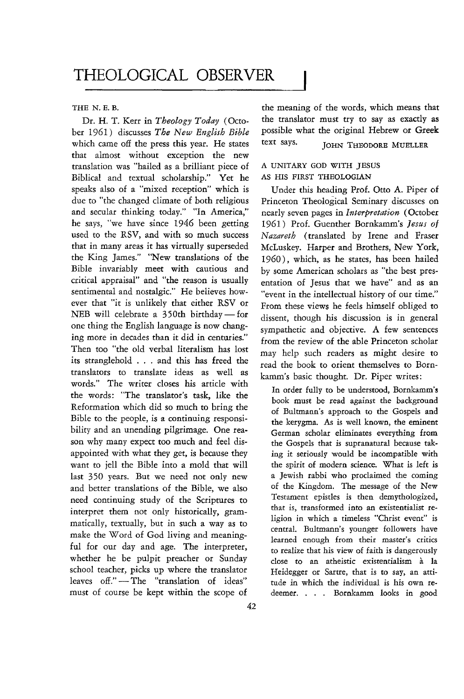## THE N. E.B.

Dr. H. T. Kerr in *Theology Today* (October 1961) discusses *The New English Bible*  which came off the press this year. He states that almost without exception the new translation was "hailed as a brilliant piece of Biblical and textual scholarship." Yet he speaks also of a "mixed reception" which is due to "the changed climate of both religious and secular thinking today." "In America," he says, "we have since 1946 been getting used to the RSV, and with so much success that in many areas it has virtually superseded the King James." "New translations of the Bible invariably meet with cautious and critical appraisal" and "the reason is usually sentimental and nostalgic." He believes however that "it is unlikely that either RSV or NEB will celebrate a  $350th$  birthday - for one thing the English language is now changing more in decades than it did in centuries." Then too "the old verbal literalism has lost its stranglehold . . . and this has freed the translators to translate ideas as well as words." The writer closes his article with the words: "The translator's task, like the Reformation which did so much to bring the Bible to the people, is a continuing responsibility and an unending pilgrimage. One reason why many expect too much and feel disappointed with what they get, is because they want to jell the Bible into a mold that will last 350 years. But we need not only new and better translations of the Bible, we also need continuing study of the Scriptures to interpret them not only historically, grammatically, textually, but in such a way as to make the Word of God living and meaningful for our day and age. The interpreter, whether he be pulpit preacher or Sunday school teacher, picks up where the translator leaves off."-The "translation of ideas" must of course be kept within the scope of

the meaning of the words, which means that the translator must try to say as exactly as possible what the original Hebrew or Greek text says. JOHN THEODORE MUELLER

# A UNITARY GOD WITH JESUS AS HIS FIRST THEOLOGIAN

Under this heading Prof. Otto A. Piper of Princeton Theological Seminary discusses on nearly seven pages in *Interpretation* (October 1961) Prof. Guenther Bornkamm's *Jesus of Nazareth* (translated by Irene and Fraser McLuskey. Harper and Brothers, New York, 1960), which, as he states, has been hailed by some American scholars as "the best presentation of Jesus that we have" and as an "event in the intellectual history of our time." From these views he feels himself obliged to dissent, though his discussion is in general sympathetic and objective. A few sentences from the review of the able Princeton scholar may help such readers as might desire to read the book to orient themselves to Bornkamm's basic thought. Dr. Piper writes:

In order fully to be understood, Bornkamm's book must be read against the background of Bultmann's approach to the Gospels and the kerygma. As is well known, the eminent German scholar eliminates everything from the Gospels that is supranatural because taking it seriously would be incompatible with the spirit of modern science. What is left is a Jewish rabbi who proclaimed the coming of the Kingdom. The message of the New Testament epistles is then demythologized, that is, transformed into an existentialist religion in which a timeless "Christ event" is central. Bultmann's younger followers have learned enough from their master's critics to realize that his view of faith is dangerously close to an atheistic existentialism à la Heidegger or Sartte, that is to say, an attitude in which the individual is his own redeemer. . . . Bornkamm looks in good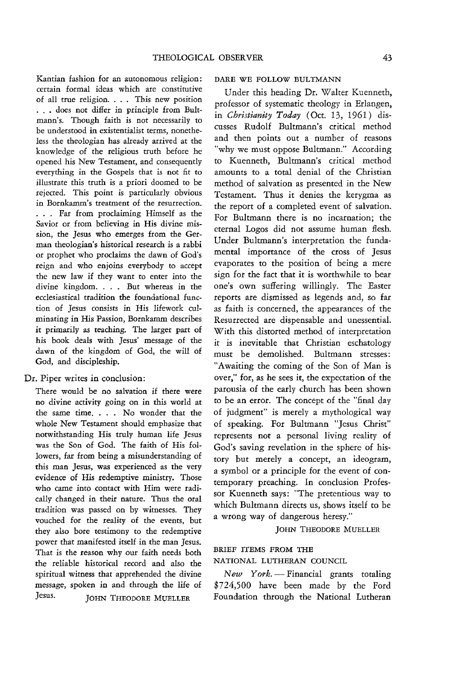Kantian fashion for an autonomous religion: certain formal ideas which are constitutive of all true religion. . . . This new position . . . does not differ in principle from Bultmann's. Though faith is not necessarily to be understood in existentialist terms, nonetheless the theologian has already arrived at the knowledge of the religious truth before he opened his New Testament, and consequently everything in the Gospels that is not fit to illustrate this truth is a priori doomed to be rejected. This point is particularly obvious in Bornkamm's treatment of the resurrection. . . . Far from proclaiming Himself as the Savior or from believing in His divine mission, the Jesus who emerges from the German theologian's historical research is a rabbi or prophet who proclaims the dawn of God's reign and who enjoins everybody to accept the new law if they want to enter into the divine kingdom. . . . But whereas in the ecclesiastical tradition the foundational function of Jesus consists in His lifework culminating in His Passion, Bornkamm describes it primarily as teaching. The larger part of his book deals with Jesus' message of the dawn of the kingdom of God, the will of God, and discipleship.

#### Dr. Piper writes in conclusion:

There would be no salvation if there were no divine activity going on in this world at the same time. . . . No wonder that the whole New Testament should emphasize that notwithstanding His truly human life Jesus was the Son of God. The faith of His followers, far from being a misunderstanding of this man Jesus, was experienced as the very evidence of His redemptive ministry. Those who came into contact with Him were radically changed in their nature. Thus the oral tradition was passed on by witnesses. They vouched for the reality of the events, but they also bore testimony to the redemptive power that manifested itself in the man Jesus. That is the reason why our faith needs both the reliable historical record and also the spiritual witness that apprehended the divine message, spoken in and through the life of Jesus. JOHN THEODORE MUELLER

#### DARE WE FOLLOW BULTMANN

Under this heading Dr. Walter Kuenneth, professor of systematic theology in Erlangen, in *Christianity Today* (Oct. 13, 1961) discusses Rudolf Bultmann's critical method and then points out a number of reasons "why we must oppose Bultmann." According to Kuenneth, Bultrnann's critical method amounts to a total denial of the Christian method of salvation as presented in the New Testament. Thus it denies the kerygma as the report of a completed event of salvation. For Bultrnann there is no incarnation; the eternal Logos did not assume human flesh. Under Bultmann's interpretation the fundamental importance of the cross of Jesus evaporates to the position of being a mere sign for the fact that it is worthwhile to bear one's own suffering willingly. The Easter reports are dismissed as legends and, so far as faith is concerned, the appearances of the Resurrected are dispensable and unessential. With this distorted method of interpretation it is inevitable that Christian eschatology must be demolished. Bultmann stresses: "Awaiting the coming of the Son of Man is over," for, as he sees it, the expectation of the parousia of the early church has been shown to be an error. The concept of the "final day of judgment" is merely a mythological way of speaking. For Bultrnann "Jesus Christ" represents not a personal living reality of God's saving revelation in the sphere of history but merely a concept, an ideogram, a symbol or a principle for the event of contemporary preaching. In conclusion Professor Kuenneth says: "The pretentious way to which Bultmann directs us, shows itself to be a wrong way of dangerous heresy."

### JOHN THEODORE MUELLER

## BRIEF ITEMS FROM THE NATIONAL LUTHERAN COUNCIL

*New York.*-Financial grants totaling \$724,500 have been made by the Ford Foundation through the National Lutheran